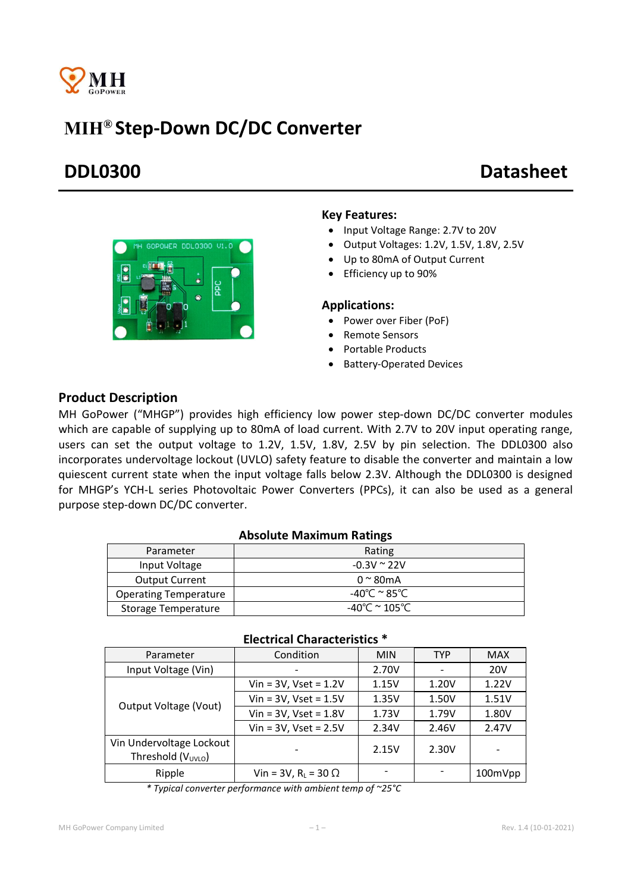

# MIH® Step-Down DC/DC Converter

# DDL0300 Datasheet



### Key Features:

- Input Voltage Range: 2.7V to 20V
- Output Voltages: 1.2V, 1.5V, 1.8V, 2.5V
- Up to 80mA of Output Current
- Efficiency up to 90%

#### Applications:

- Power over Fiber (PoF)
- Remote Sensors
- Portable Products
- Battery-Operated Devices

## Product Description

MH GoPower ("MHGP") provides high efficiency low power step-down DC/DC converter modules which are capable of supplying up to 80mA of load current. With 2.7V to 20V input operating range, users can set the output voltage to 1.2V, 1.5V, 1.8V, 2.5V by pin selection. The DDL0300 also incorporates undervoltage lockout (UVLO) safety feature to disable the converter and maintain a low quiescent current state when the input voltage falls below 2.3V. Although the DDL0300 is designed for MHGP's YCH-L series Photovoltaic Power Converters (PPCs), it can also be used as a general purpose step-down DC/DC converter.

### Absolute Maximum Ratings

| Parameter                    | Rating                 |
|------------------------------|------------------------|
| Input Voltage                | $-0.3V \approx 22V$    |
| <b>Output Current</b>        | $0 \approx 80$ mA      |
| <b>Operating Temperature</b> | -40℃ <sup>~</sup> 85℃  |
| Storage Temperature          | -40°C $\approx$ 105°C. |

| Parameter                                                  | Condition                                 | <b>MIN</b> | <b>TYP</b> | <b>MAX</b> |  |
|------------------------------------------------------------|-------------------------------------------|------------|------------|------------|--|
| Input Voltage (Vin)                                        |                                           | 2.70V      |            | <b>20V</b> |  |
| Output Voltage (Vout)                                      | $V$ in = 3V, Vset = 1.2V                  | 1.15V      | 1.20V      | 1.22V      |  |
|                                                            | Vin = $3V$ , Vset = $1.5V$                | 1.35V      | 1.50V      | 1.51V      |  |
|                                                            | Vin = $3V$ , Vset = $1.8V$                | 1.73V      | 1.79V      | 1.80V      |  |
|                                                            | $Vin = 3V$ , $Vset = 2.5V$                | 2.34V      | 2.46V      | 2.47V      |  |
| Vin Undervoltage Lockout<br>Threshold (V <sub>UVLO</sub> ) |                                           | 2.15V      | 2.30V      |            |  |
| Ripple                                                     | Vin = $3V$ , R <sub>L</sub> = $30 \Omega$ |            |            | 100mVpp    |  |

#### Electrical Characteristics \*

*\* Typical converter performance with ambient temp of ~25°C*